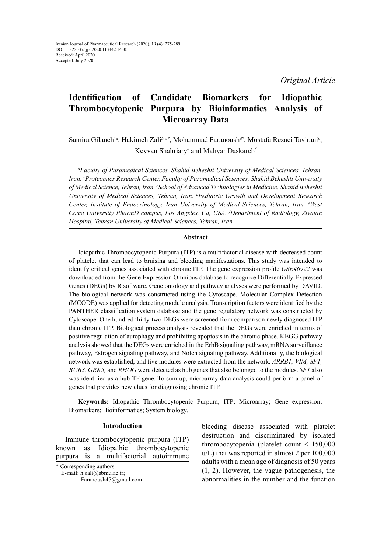*Original Article*

# **Identification of Candidate Biomarkers for Idiopathic Thrombocytopenic Purpura by Bioinformatics Analysis of Microarray Data**

## Samira Gilanchi*<sup>a</sup>* , Hakimeh Zali*b, c\**, Mohammad Faranoush*d\**, Mostafa Rezaei Tavirani*<sup>b</sup>* , Keyvan Shahriary<sup>e</sup> and Mahyar Daskareh<sup>*f*</sup>

*a Faculty of Paramedical Sciences, Shahid Beheshti University of Medical Sciences, Tehran, Iran. b Proteomics Research Center,Faculty of Paramedical Sciences, Shahid Beheshti University of Medical Science, Tehran, Iran. c School of Advanced Technologies in Medicine, Shahid Beheshti*  University of Medical Sciences, Tehran, Iran. <sup>d</sup>Pediatric Growth and Development Research *Center, Institute of Endocrinology, Iran University of Medical Sciences, Tehran, Iran. e West Coast University PharmD campus, Los Angeles, Ca, USA. f Department of Radiology, Ziyaian Hospital, Tehran University of Medical Sciences, Tehran, Iran.*

#### **Abstract**

Idiopathic Thrombocytopenic Purpura (ITP) is a multifactorial disease with decreased count of platelet that can lead to bruising and bleeding manifestations. This study was intended to identify critical genes associated with chronic ITP. The gene expression profile *GSE46922* was downloaded from the Gene Expression Omnibus database to recognize Differentially Expressed Genes (DEGs) by R software. Gene ontology and pathway analyses were performed by DAVID. The biological network was constructed using the Cytoscape. Molecular Complex Detection (MCODE) was applied for detecting module analysis. Transcription factors were identified by the PANTHER classification system database and the gene regulatory network was constructed by Cytoscape. One hundred thirty-two DEGs were screened from comparison newly diagnosed ITP than chronic ITP. Biological process analysis revealed that the DEGs were enriched in terms of positive regulation of autophagy and prohibiting apoptosis in the chronic phase. KEGG pathway analysis showed that the DEGs were enriched in the ErbB signaling pathway, mRNA surveillance pathway, Estrogen signaling pathway, and Notch signaling pathway. Additionally, the biological network was established, and five modules were extracted from the network. *ARRB1, VIM, SF1, BUB3, GRK5,* and *RHOG* were detected as hub genes that also belonged to the modules. *SF1* also was identified as a hub-TF gene. To sum up, microarray data analysis could perform a panel of genes that provides new clues for diagnosing chronic ITP.

**Keywords:** Idiopathic Thrombocytopenic Purpura; ITP; Microarray; Gene expression; Biomarkers; Bioinformatics; System biology.

## **Introduction**

Immune thrombocytopenic purpura (ITP) known as Idiopathic thrombocytopenic purpura is a multifactorial autoimmune

\* Corresponding authors:

E-mail: h.zali@sbmu.ac.ir;

bleeding disease associated with platelet destruction and discriminated by isolated thrombocytopenia (platelet count < 150,000 u/L) that was reported in almost 2 per 100,000 adults with a mean age of diagnosis of 50 years (1, 2). However, the vague pathogenesis, the abnormalities in the number and the function

Faranoush47@gmail.com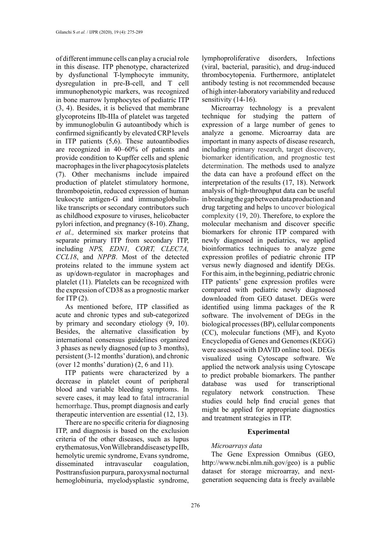of different immune cells can play a crucial role in this disease. ITP phenotype, characterized by dysfunctional T-lymphocyte immunity, dysregulation in pre-B-cell, and T cell immunophenotypic markers, was recognized in bone marrow lymphocytes of pediatric ITP (3, 4). Besides, it is believed that membrane glycoproteins IIb-IIIa of platelet was targeted by immunoglobulin G autoantibody which is confirmed significantly by elevated CRP levels in ITP patients (5,6). These autoantibodies are recognized in 40–60% of patients and provide condition to Kupffer cells and splenic macrophages in the liver phagocytosis platelets (7). Other mechanisms include impaired production of platelet stimulatory hormone, thrombopoietin, reduced expression of human leukocyte antigen-G and immunoglobulinlike transcripts or secondary contributors such as childhood exposure to viruses, helicobacter pylori infection, and pregnancy (8-10). Zhang, *et al.,* determined six marker proteins that separate primary ITP from secondary ITP, including *NPS, EDN1, CORT, CLEC7A, CCL18*, and *NPPB*. Most of the detected proteins related to the immune system act as up/down-regulator in macrophages and platelet (11). Platelets can be recognized with the expression of CD38 as a prognostic marker for ITP  $(2)$ .

As mentioned before, ITP classified as acute and chronic types and sub-categorized by primary and secondary etiology (9, 10). Besides, the alternative classification by international consensus guidelines organized 3 phases as newly diagnosed (up to 3 months), persistent (3-12 months' duration), and chronic (over 12 months' duration) (2, 6 and 11).

ITP patients were characterized by a decrease in platelet count of peripheral blood and variable bleeding symptoms. In severe cases, it may lead to fatal intracranial hemorrhage. Thus, prompt diagnosis and early therapeutic intervention are essential (12, 13).

There are no specific criteria for diagnosing ITP, and diagnosis is based on the exclusion criteria of the other diseases, such as lupus erythematosus, Von Willebrand disease type IIb, hemolytic uremic syndrome, Evans syndrome, disseminated intravascular coagulation, Posttransfusion purpura, paroxysmal nocturnal hemoglobinuria, myelodysplastic syndrome,

lymphoproliferative disorders, Infections (viral, bacterial, parasitic), and drug-induced thrombocytopenia. Furthermore, antiplatelet antibody testing is not recommended because of high inter-laboratory variability and reduced sensitivity (14-16).

Microarray technology is a prevalent technique for studying the pattern of expression of a large number of genes to analyze a genome. Microarray data are important in many aspects of disease research, including primary research, target discovery, biomarker identification, and prognostic test determination. The methods used to analyze the data can have a profound effect on the interpretation of the results (17, 18). Network analysis of high‐throughput data can be useful in breaking the gap between data production and drug targeting and helps to uncover biological complexity (19, 20). Therefore, to explore the molecular mechanism and discover specific biomarkers for chronic ITP compared with newly diagnosed in pediatrics, we applied bioinformatics techniques to analyze gene expression profiles of pediatric chronic ITP versus newly diagnosed and identify DEGs. For this aim, in the beginning, pediatric chronic ITP patients' gene expression profiles were compared with pediatric newly diagnosed downloaded from GEO dataset. DEGs were identified using limma packages of the R software. The involvement of DEGs in the biological processes (BP), cellular components (CC), molecular functions (MF), and Kyoto Encyclopedia of Genes and Genomes (KEGG) were assessed with DAVID online tool. DEGs visualized using Cytoscape software. We applied the network analysis using Cytoscape to predict probable biomarkers. The panther database was used for transcriptional regulatory network construction. These studies could help find crucial genes that might be applied for appropriate diagnostics and treatment strategies in ITP.

## **Experimental**

## *Microarrays data*

The Gene Expression Omnibus (GEO, http://www.ncbi.nlm.nih.gov/geo) is a public dataset for storage microarray, and nextgeneration sequencing data is freely available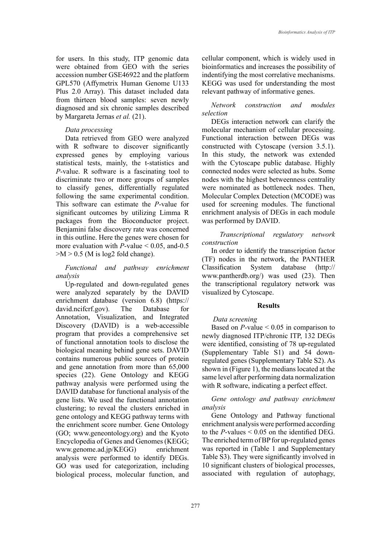for users. In this study, ITP genomic data were obtained from GEO with the series accession number GSE46922 and the platform GPL570 (Affymetrix Human Genome U133 Plus 2.0 Array). This dataset included data from thirteen blood samples: seven newly diagnosed and six chronic samples described by Margareta Jernas *et al.* (21).

#### *Data processing*

Data retrieved from GEO were analyzed with R software to discover significantly expressed genes by employing various statistical tests, mainly, the t-statistics and *P*-value. R software is a fascinating tool to discriminate two or more groups of samples to classify genes, differentially regulated following the same experimental condition. This software can estimate the *P*-value for significant outcomes by utilizing Limma R packages from the Bioconductor project. Benjamini false discovery rate was concerned in this outline. Here the genes were chosen for more evaluation with  $P$ -value  $\leq 0.05$ , and-0.5  $> M > 0.5$  (M is log2 fold change).

## *Functional and pathway enrichment analysis*

Up-regulated and down-regulated genes were analyzed separately by the DAVID enrichment database (version 6.8) (https:// david.ncifcrf.gov). The Database for Annotation, Visualization, and Integrated Discovery (DAVID) is a web-accessible program that provides a comprehensive set of functional annotation tools to disclose the biological meaning behind gene sets. DAVID contains numerous public sources of protein and gene annotation from more than 65,000 species (22). Gene Ontology and KEGG pathway analysis were performed using the DAVID database for functional analysis of the gene lists. We used the functional annotation clustering; to reveal the clusters enriched in gene ontology and KEGG pathway terms with the enrichment score number. Gene Ontology (GO; www.geneontology.org) and the Kyoto Encyclopedia of Genes and Genomes (KEGG; www.genome.ad.jp/KEGG) enrichment analysis were performed to identify DEGs. GO was used for categorization, including biological process, molecular function, and

cellular component, which is widely used in bioinformatics and increases the possibility of indentifying the most correlative mechanisms. KEGG was used for understanding the most relevant pathway of informative genes.

## *Network construction and modules selection*

DEGs interaction network can clarify the molecular mechanism of cellular processing. Functional interaction between DEGs was constructed with Cytoscape (version 3.5.1). In this study, the network was extended with the Cytoscape public database. Highly connected nodes were selected as hubs. Some nodes with the highest betweenness centrality were nominated as bottleneck nodes. Then, Molecular Complex Detection (MCODE) was used for screening modules. The functional enrichment analysis of DEGs in each module was performed by DAVID.

## *Transcriptional regulatory network construction*

In order to identify the transcription factor (TF) nodes in the network, the PANTHER Classification System database (http:// www.pantherdb.org/) was used (23). Then the transcriptional regulatory network was visualized by Cytoscape.

#### **Results**

## *Data screening*

Based on *P*-value < 0.05 in comparison to newly diagnosed ITP/chronic ITP, 132 DEGs were identified, consisting of 78 up-regulated (Supplementary Table S1) and 54 downregulated genes (Supplementary Table S2). As shown in (Figure 1), the medians located at the same level after performing data normalization with R software, indicating a perfect effect.

*Gene ontology and pathway enrichment analysis*

Gene Ontology and Pathway functional enrichment analysis were performed according to the *P*-values < 0.05 on the identified DEG. The enriched term of BP for up-regulated genes was reported in (Table 1 and Supplementary Table S3). They were significantly involved in 10 significant clusters of biological processes, associated with regulation of autophagy,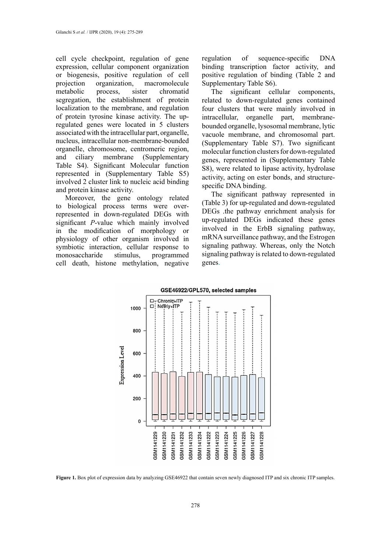cell cycle checkpoint, regulation of gene expression, cellular component organization or biogenesis, positive regulation of cell projection organization, macromolecule metabolic process, sister chromatid segregation, the establishment of protein localization to the membrane, and regulation of protein tyrosine kinase activity. The upregulated genes were located in 5 clusters associated with the intracellular part, organelle, nucleus, intracellular non-membrane-bounded organelle, chromosome, centromeric region, and ciliary membrane (Supplementary Table S4). Significant Molecular function represented in (Supplementary Table S5) involved 2 cluster link to nucleic acid binding and protein kinase activity.

Moreover, the gene ontology related to biological process terms were overrepresented in down-regulated DEGs with significant *P*-value which mainly involved in the modification of morphology or physiology of other organism involved in symbiotic interaction, cellular response to monosaccharide stimulus, programmed cell death, histone methylation, negative regulation of sequence-specific DNA binding transcription factor activity, and positive regulation of binding (Table 2 and Supplementary Table S6).

The significant cellular components, related to down-regulated genes contained four clusters that were mainly involved in intracellular, organelle part, membranebounded organelle, lysosomal membrane, lytic vacuole membrane, and chromosomal part. (Supplementary Table S7). Two significant molecular function clusters for down-regulated genes, represented in (Supplementary Table S8), were related to lipase activity, hydrolase activity, acting on ester bonds, and structurespecific DNA binding.

The significant pathway represented in (Table 3) for up-regulated and down-regulated DEGs .the pathway enrichment analysis for up-regulated DEGs indicated these genes involved in the ErbB signaling pathway, mRNA surveillance pathway, and the Estrogen signaling pathway. Whereas, only the Notch signaling pathway is related to down-regulated genes.



**Figure 1.** Box plot of expression data by analyzing GSE46922 that contain seven newly diagnosed ITP and six chronic ITP samples.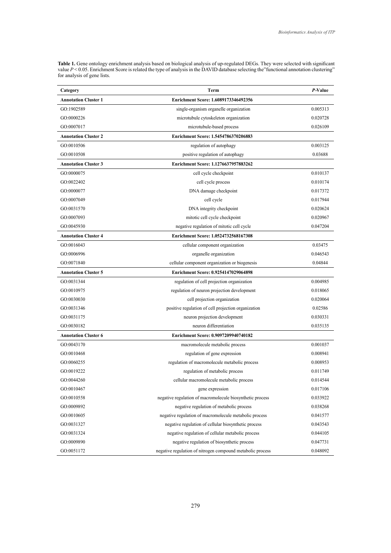**Table 1.** Gene ontology enrichment analysis based on biological analysis of up-regulated DEGs. They were selected with significant value  $P \le 0.05$ . Enrichment Score is related the type of analysis in the DAVID database selecting the "functional annotation clustering" **Table 1.** Gene ontology enrichment analysis based on biological analysis of up-regulated DEGs. They were selected with significant value  $P < 0.05$ . Enrichment Score is related the type of analysis in the DAVID database selecting the "functional annotation clustering" for analysis of gene lists.

|                             |                                                            | P-Value  |  |
|-----------------------------|------------------------------------------------------------|----------|--|
| Category                    | <b>Term</b>                                                |          |  |
| <b>Annotation Cluster 1</b> | Enrichment Score: 1.6089173346492356                       |          |  |
| GO:1902589                  | single-organism organelle organization                     | 0.005313 |  |
| GO:0000226                  | microtubule cytoskeleton organization                      | 0.020728 |  |
| GO:0007017                  | microtubule-based process                                  | 0.026109 |  |
| <b>Annotation Cluster 2</b> | Enrichment Score: 1.5454786370206883                       |          |  |
| GO:0010506                  | regulation of autophagy                                    | 0.003125 |  |
| GO:0010508                  | positive regulation of autophagy                           | 0.03688  |  |
| <b>Annotation Cluster 3</b> | Enrichment Score: 1.1276637957883262                       |          |  |
| GO:0000075                  | cell cycle checkpoint                                      | 0.010137 |  |
| GO:0022402                  | cell cycle process                                         | 0.010174 |  |
| GO:0000077                  | DNA damage checkpoint                                      | 0.017372 |  |
| GO:0007049                  | cell cycle                                                 | 0.017944 |  |
| GO:0031570                  | DNA integrity checkpoint                                   | 0.020624 |  |
| GO:0007093                  | mitotic cell cycle checkpoint                              | 0.020967 |  |
| GO:0045930                  | negative regulation of mitotic cell cycle                  | 0.047204 |  |
| <b>Annotation Cluster 4</b> | Enrichment Score: 1.0524732568167308                       |          |  |
| GO:0016043                  | cellular component organization                            | 0.03475  |  |
| GO:0006996                  | organelle organization                                     | 0.046543 |  |
| GO:0071840                  | cellular component organization or biogenesis              | 0.04844  |  |
| <b>Annotation Cluster 5</b> | Enrichment Score: 0.9254147029064898                       |          |  |
| GO:0031344                  | regulation of cell projection organization                 | 0.004985 |  |
| GO:0010975                  | regulation of neuron projection development                | 0.018065 |  |
| GO:0030030                  | cell projection organization                               | 0.020064 |  |
| GO:0031346                  | positive regulation of cell projection organization        | 0.02586  |  |
| GO:0031175                  | neuron projection development                              | 0.030331 |  |
| GO:0030182                  | neuron differentiation                                     | 0.035135 |  |
| <b>Annotation Cluster 6</b> | Enrichment Score: 0.9097209940740182                       |          |  |
| GO:0043170                  | macromolecule metabolic process                            | 0.001037 |  |
| GO:0010468                  | regulation of gene expression                              | 0.008941 |  |
| GO:0060255                  | regulation of macromolecule metabolic process              | 0.008953 |  |
| GO:0019222                  | regulation of metabolic process                            | 0.011749 |  |
| GO:0044260                  | cellular macromolecule metabolic process                   | 0.014544 |  |
| GO:0010467                  | gene expression                                            | 0.017106 |  |
| GO:0010558                  | negative regulation of macromolecule biosynthetic process  | 0.033922 |  |
| GO:0009892                  | negative regulation of metabolic process                   | 0.038268 |  |
| GO:0010605                  | negative regulation of macromolecule metabolic process     | 0.041577 |  |
| GO:0031327                  | negative regulation of cellular biosynthetic process       | 0.043543 |  |
| GO:0031324                  | negative regulation of cellular metabolic process          | 0.044105 |  |
| GO:0009890                  | negative regulation of biosynthetic process                | 0.047731 |  |
| GO:0051172                  | negative regulation of nitrogen compound metabolic process | 0.048092 |  |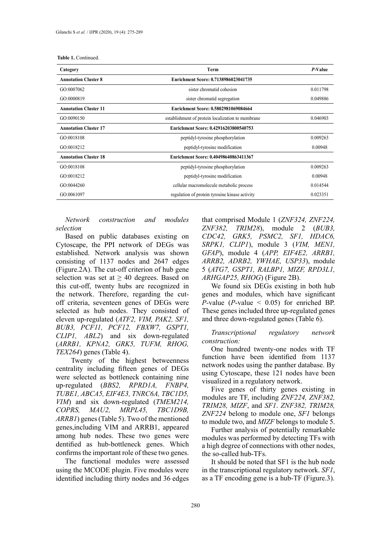|  | <b>Table 1. Continued.</b> |
|--|----------------------------|
|  |                            |

| Category                     | Term                                              | P-Value  |
|------------------------------|---------------------------------------------------|----------|
| <b>Annotation Cluster 8</b>  | Enrichment Score: 0.7138986023041735              |          |
| GO:0007062                   | sister chromatid cohesion                         | 0.011798 |
| GO:0000819                   | sister chromatid segregation                      | 0.049886 |
| <b>Annotation Cluster 11</b> | Enrichment Score: 0.5802981069084664              |          |
| GO:0090150                   | establishment of protein localization to membrane | 0.046903 |
| <b>Annotation Cluster 17</b> | Enrichment Score: 0.42916203800540753             |          |
| GO:0018108                   | peptidyl-tyrosine phosphorylation                 | 0.009263 |
| GO:0018212                   | peptidyl-tyrosine modification                    | 0.00948  |
| <b>Annotation Cluster 18</b> | Enrichment Score: 0.40498640863411367             |          |
| GO:0018108                   | peptidyl-tyrosine phosphorylation                 | 0.009263 |
| GO:0018212                   | peptidyl-tyrosine modification                    | 0.00948  |
| GO:0044260                   | cellular macromolecule metabolic process          | 0.014544 |
| GO:0061097                   | regulation of protein tyrosine kinase activity    | 0.023351 |

*Network construction and modules selection*

Based on public databases existing on Cytoscape, the PPI network of DEGs was established. Network analysis was shown consisting of 1137 nodes and 2647 edges (Figure.2A). The cut-off criterion of hub gene selection was set at  $\geq 40$  degrees. Based on this cut-off, twenty hubs are recognized in the network. Therefore, regarding the cutoff criteria, seventeen genes of DEGs were selected as hub nodes. They consisted of eleven up-regulated (*ATF2, VIM, PAK2, SF1, BUB3, PCF11, PCF12, FBXW7, GSPT1, CLIP1, ABL2*) and six down-regulated (*ARRB1, KPNA2, GRK5, TUFM, RHOG, TEX264*) genes (Table 4).

Twenty of the highest betweenness centrality including fifteen genes of DEGs were selected as bottleneck containing nine up-regulated (*BBS2, RPRD1A, FNBP4, TUBE1, ABCA5, EIF4E3, TNRC6A, TBC1D5, VIM*) and six down-regulated (*TMEM214, COPRS, MAU2, MRPL45, TBC1D9B, ARRB1*) genes (Table 5). Two of the mentioned genes,including VIM and ARRB1, appeared among hub nodes. These two genes were dentified as hub-bottleneck genes. Which confirms the important role of these two genes.

The functional modules were assessed using the MCODE plugin. Five modules were identified including thirty nodes and 36 edges

that comprised Module 1 (*ZNF324, ZNF224, ZNF382, TRIM28*), module 2 (*BUB3, CDC42, GRK5, PSMC2, SF1, HDAC6, SRPK1, CLIP1*), module 3 (*VIM, MEN1, GFAP*), module 4 (*APP, EIF4E2, ARRB1, ARRB2, ADRB2, YWHAE, USP33*), module 5 (*ATG7, GSPT1, RALBP1, MIZF, RPD3L1, ARHGAP25, RHOG*) (Figure 2B).

We found six DEGs existing in both hub genes and modules, which have significant *P*-value (*P*-value  $\leq$  0.05) for enriched BP. These genes included three up-regulated genes and three down-regulated genes (Table 6).

## *Transcriptional regulatory network construction:*

One hundred twenty-one nodes with TF function have been identified from 1137 network nodes using the panther database. By using Cytoscape, these 121 nodes have been visualized in a regulatory network.

Five genes of thirty genes existing in modules are TF, including *ZNF224, ZNF382, TRIM28, MIZF*, and *SF1*. *ZNF382, TRIM28, ZNF224* belong to module one, *SF1* belongs to module two, and *MIZF* belongs to module 5.

Further analysis of potentially remarkable modules was performed by detecting TFs with a high degree of connections with other nodes, the so-called hub-TFs.

It should be noted that SF1 is the hub node in the transcriptional regulatory network. *SF1*, as a TF encoding gene is a hub-TF (Figure.3).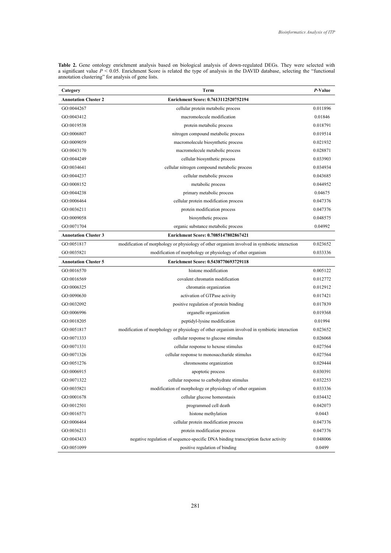| Category                    | Term                                                                                         | P-Value  |
|-----------------------------|----------------------------------------------------------------------------------------------|----------|
| <b>Annotation Cluster 2</b> | Enrichment Score: 0.7613112520752194                                                         |          |
| GO:0044267                  | cellular protein metabolic process                                                           | 0.011896 |
| GO:0043412                  | macromolecule modification                                                                   | 0.01846  |
| GO:0019538                  | protein metabolic process                                                                    | 0.018791 |
| GO:0006807                  | nitrogen compound metabolic process                                                          | 0.019514 |
| GO:0009059                  | macromolecule biosynthetic process                                                           | 0.021932 |
| GO:0043170                  | macromolecule metabolic process                                                              | 0.028871 |
| GO:0044249                  | cellular biosynthetic process                                                                | 0.033903 |
| GO:0034641                  | cellular nitrogen compound metabolic process                                                 | 0.034934 |
| GO:0044237                  | cellular metabolic process                                                                   | 0.043685 |
| GO:0008152                  | metabolic process                                                                            | 0.044952 |
| GO:0044238                  | primary metabolic process                                                                    | 0.04675  |
| GO:0006464                  | cellular protein modification process                                                        | 0.047376 |
| GO:0036211                  | protein modification process                                                                 | 0.047376 |
| GO:0009058                  | biosynthetic process                                                                         | 0.048575 |
| GO:0071704                  | organic substance metabolic process                                                          | 0.04992  |
| <b>Annotation Cluster 3</b> | Enrichment Score: 0.7085147802867421                                                         |          |
| GO:0051817                  | modification of morphology or physiology of other organism involved in symbiotic interaction | 0.023652 |
| GO:0035821                  | modification of morphology or physiology of other organism                                   | 0.033336 |
| <b>Annotation Cluster 5</b> | Enrichment Score: 0.5438770693729118                                                         |          |
| GO:0016570                  | histone modification                                                                         | 0.005122 |
| GO:0016569                  | covalent chromatin modification                                                              | 0.012772 |
| GO:0006325                  | chromatin organization                                                                       | 0.012912 |
| GO:0090630                  | activation of GTPase activity                                                                | 0.017421 |
| GO:0032092                  | positive regulation of protein binding                                                       | 0.017839 |
| GO:0006996                  | organelle organization                                                                       | 0.019368 |
| GO:0018205                  | peptidyl-lysine modification                                                                 | 0.01994  |
| GO:0051817                  | modification of morphology or physiology of other organism involved in symbiotic interaction | 0.023652 |
| GO:0071333                  | cellular response to glucose stimulus                                                        | 0.026068 |
| GO:0071331                  | cellular response to hexose stimulus                                                         | 0.027564 |
| GO:0071326                  | cellular response to monosaccharide stimulus                                                 | 0.027564 |
| GO:0051276                  | chromosome organization                                                                      | 0.029444 |
| GO:0006915                  | apoptotic process                                                                            | 0.030391 |
| GO:0071322                  | cellular response to carbohydrate stimulus                                                   | 0.032253 |
| GO:0035821                  | modification of morphology or physiology of other organism                                   | 0.033336 |
| GO:0001678                  | cellular glucose homeostasis                                                                 | 0.034432 |
| GO:0012501                  | programmed cell death                                                                        | 0.042073 |
| GO:0016571                  | histone methylation                                                                          | 0.0443   |
| GO:0006464                  | cellular protein modification process                                                        | 0.047376 |
| GO:0036211                  | protein modification process                                                                 | 0.047376 |
| GO:0043433                  | negative regulation of sequence-specific DNA binding transcription factor activity           | 0.048006 |
| GO:0051099                  | positive regulation of binding                                                               | 0.0499   |

**Table 2.** Gene ontology enrichment analysis based on biological analysis of down-regulated DEGs. They were selected with a significant value *P* < 0.05. Enrichment Score is related the type of analysis in the DAVID database, selecting the "functional annotation clustering" for analysis of gene lists.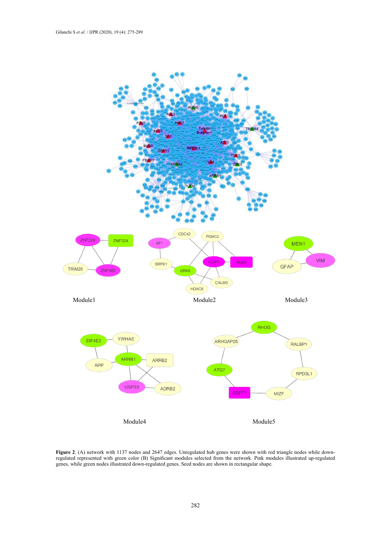

**Figure 2**. (A) network with 1137 nodes and 2647 edges. Unregulated hub genes were shown with red triangle nodes while downregulated represented with green color (B) Significant modules selected from the network. Pink modules illustrated up-regulated genes, while green nodes illustrated down-regulated genes. Seed nodes are shown in rectangular shape.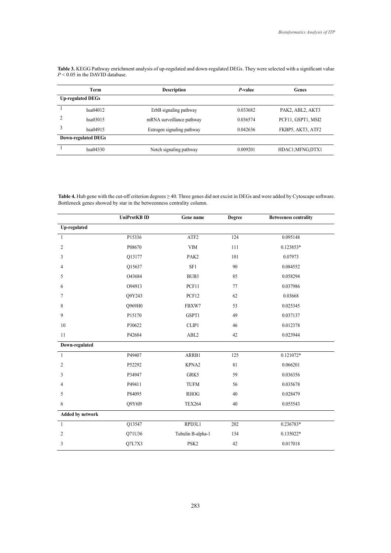**Table 3.** KEGG Pathway enrichment analysis of up-regulated and down-regulated DEGs. They were selected with a significant value *P* < 0.05 in **Table 3.** KEGG Pathway enrichment analysis of up-regulated and down-regulated DEGs. They were selected with a significant value  $P \le 0.05$  in the DAVID database. *P* < 0.05 in the DAVID database.

| Term                     | <b>Description</b>         | P-value  | Genes              |
|--------------------------|----------------------------|----------|--------------------|
| <b>Up-regulated DEGs</b> |                            |          |                    |
| hsa04012                 | ErbB signaling pathway     | 0.033682 | PAK2, ABL2, AKT3   |
| hsa03015                 | mRNA surveillance pathway  | 0.036574 | PCF11, GSPT1, MSI2 |
| hsa04915                 | Estrogen signaling pathway | 0.042636 | FKBP5, AKT3, ATF2  |
| Down-regulated DEGs      |                            |          |                    |
| hsa04330                 | Notch signaling pathway    | 0.009201 | HDAC1;MFNG;DTX1    |

Table 4. Hub gene with the cut-off criterion degrees  $\geq 40$ . Three genes did not excist in DEGs and were added by Cytoscape software. Bottleneck genes showed by star in the betweenness centrality column.

|                         | <b>UniProtKB ID</b> | Gene name         | <b>Degree</b> | <b>Betweeness centrality</b> |
|-------------------------|---------------------|-------------------|---------------|------------------------------|
| Up-regulated            |                     |                   |               |                              |
| $\mathbf{1}$            | P15336              | ATF <sub>2</sub>  | 124           | 0.095148                     |
| $\mathfrak{2}$          | P08670              | <b>VIM</b>        | 111           | 0.123853*                    |
| 3                       | Q13177              | PAK2              | 101           | 0.07973                      |
| 4                       | Q15637              | SF1               | 90            | 0.084552                     |
| 5                       | O43684              | BUB3              | 85            | 0.058294                     |
| 6                       | 094913              | PCF11             | 77            | 0.037986                     |
| 7                       | Q9Y243              | PCF12             | 62            | 0.03668                      |
| 8                       | Q969H0              | FBXW7             | 53            | 0.025345                     |
| 9                       | P15170              | GSPT1             | 49            | 0.037137                     |
| 10                      | P30622              | CLIP1             | 46            | 0.012378                     |
| 11                      | P42684              | ABL <sub>2</sub>  | 42            | 0.023944                     |
| Down-regulated          |                     |                   |               |                              |
| $\mathbf{1}$            | P49407              | ARRB1             | 125           | $0.121072*$                  |
| 2                       | P52292              | KPNA2             | 81            | 0.066201                     |
| 3                       | P34947              | GRK5              | 59            | 0.036356                     |
| 4                       | P49411              | <b>TUFM</b>       | 56            | 0.035678                     |
| 5                       | P84095              | <b>RHOG</b>       | 40            | 0.028479                     |
| 6                       | Q9Y6I9              | <b>TEX264</b>     | $40\,$        | 0.055543                     |
| <b>Added by network</b> |                     |                   |               |                              |
| $\mathbf{1}$            | Q13547              | RPD3L1            | 202           | 0.236783*                    |
| $\overline{c}$          | Q71U36              | Tubulin B-alpha-1 | 134           | $0.135022*$                  |
| 3                       | Q7L7X3              | PSK <sub>2</sub>  | 42            | 0.017018                     |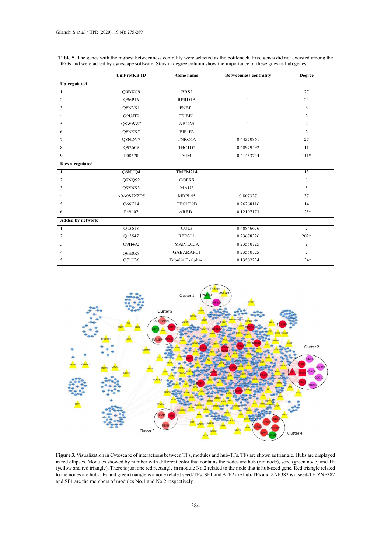|                         | <b>UniProtKBID</b> | Gene name         | <b>Betweenness centrality</b> | <b>Degree</b>  |
|-------------------------|--------------------|-------------------|-------------------------------|----------------|
| Up-regulated            |                    |                   |                               |                |
| $\mathbf{1}$            | Q9BXC9             | BBS2              | $\mathbf{1}$                  | 27             |
| 2                       | Q96P16             | RPRD1A            | $\mathbf{1}$                  | 24             |
| 3                       | <b>O8N3X1</b>      | FNBP4             | 1                             | 6              |
| 4                       | O9UJT0             | TUBE1             | $\mathbf{1}$                  | 2              |
| 5                       | Q8WWZ7             | ABCA5             | $\mathbf{1}$                  | 2              |
| 6                       | Q8N5X7             | EIF4E3            | $\overline{1}$                | 2              |
| 7                       | Q8NDV7             | TNRC6A            | 0.44370861                    | 27             |
| 8                       | O92609             | TBC1D5            | 0.48979592                    | 11             |
| 9                       | P08670             | <b>VIM</b>        | 0.41453744                    | $111*$         |
| Down-regulated          |                    |                   |                               |                |
| $\mathbf{1}$            | Q6NUQ4             | TMEM214           | $\mathbf{1}$                  | 13             |
| 2                       | Q9NQ92             | <b>COPRS</b>      | $\mathbf{1}$                  | 8              |
| 3                       | Q9Y6X3             | MAU2              | $\mathbf{1}$                  | 5              |
| 4                       | A0A087X2D5         | MRPL45            | 0.807327                      | 37             |
| 5                       | <b>O66K14</b>      | TBC1D9B           | 0.76268116                    | 14             |
| 6                       | P49407             | ARRB1             | 0.12107173                    | $125*$         |
| <b>Added by network</b> |                    |                   |                               |                |
| $\mathbf{1}$            | Q13618             | CUL3              | 0.48846676                    | $\overline{2}$ |
| 2                       | Q13547             | RPD3L1            | 0.23678326                    | $202*$         |
| 3                       | O9H492             | MAP1LC3A          | 0.23550725                    | 2              |
| 4                       | Q9H0R8             | GABARAPL1         | 0.23550725                    | 2              |
| 5                       | Q71U36             | Tubulin B-alpha-1 | 0.13502234                    | $134*$         |

Table 5. The genes with the highest betweenness centrality were selected as the bottleneck. Five genes did not excisted among the DEGs and were added by cytoscape software. Stars in degree column show the importance of these gnes as hub genes.



**Figure 3.** Visualization in Cytoscape of interactions between TFs, modules and hub-TFs. TFs are shown as triangle. Hubs are displayed in red ellipses. Modules showed by number with different color that contains the nodes are hub (red node), seed (green node) and TF (yellow and red triangle). There is just one red rectangle in module No.2 related to the node that is hub-seed gene. Red triangle related to the nodes are hub-TFs and green triangle is a node related seed-TFs. SF1 and ATF2 are hub-TFs and ZNF382 is a seed-TF. ZNF382 and SF1 are the members of modules No.1 and No.2 respectively.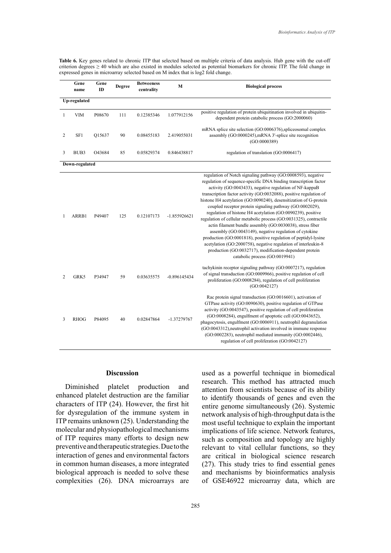Table 6. Key genes related to chronic ITP that selected based on multiple criteria of data analysis. Hub gene with the cut-off criterion degrees  $\geq$  40 which are also existed in modules selected as potential biomarkers for chronic ITP. The fold change in expressed genes in microarray selected based on M index that is log2 fold change.

|                | Gene<br>name   | Gene<br>ID | <b>Degree</b> | <b>Betweeness</b><br>centrality | M              | <b>Biological process</b>                                                                                                                                                                                                                                                                                                                                                                                                                                                                                                                                                                                                                                                                                                                                                                                                                                                                        |
|----------------|----------------|------------|---------------|---------------------------------|----------------|--------------------------------------------------------------------------------------------------------------------------------------------------------------------------------------------------------------------------------------------------------------------------------------------------------------------------------------------------------------------------------------------------------------------------------------------------------------------------------------------------------------------------------------------------------------------------------------------------------------------------------------------------------------------------------------------------------------------------------------------------------------------------------------------------------------------------------------------------------------------------------------------------|
| Up-regulated   |                |            |               |                                 |                |                                                                                                                                                                                                                                                                                                                                                                                                                                                                                                                                                                                                                                                                                                                                                                                                                                                                                                  |
| 1              | <b>VIM</b>     | P08670     | 111           | 0.12385346                      | 1.077912156    | positive regulation of protein ubiquitination involved in ubiquitin-<br>dependent protein catabolic process (GO:2000060)                                                                                                                                                                                                                                                                                                                                                                                                                                                                                                                                                                                                                                                                                                                                                                         |
| 2              | SF1            | Q15637     | 90            | 0.08455183                      | 2.419055031    | mRNA splice site selection (GO:0006376), spliceosomal complex<br>assembly (GO:0000245), mRNA 3'-splice site recognition<br>(GO:0000389)                                                                                                                                                                                                                                                                                                                                                                                                                                                                                                                                                                                                                                                                                                                                                          |
| 3              | BUB3           | O43684     | 85            | 0.05829374                      | 0.846438817    | regulation of translation (GO:0006417)                                                                                                                                                                                                                                                                                                                                                                                                                                                                                                                                                                                                                                                                                                                                                                                                                                                           |
|                | Down-regulated |            |               |                                 |                |                                                                                                                                                                                                                                                                                                                                                                                                                                                                                                                                                                                                                                                                                                                                                                                                                                                                                                  |
| 1              | ARRB1          | P49407     | 125           | 0.12107173                      | $-1.855926621$ | regulation of Notch signaling pathway (GO:0008593), negative<br>regulation of sequence-specific DNA binding transcription factor<br>activity (GO:0043433), negative regulation of NF-kappaB<br>transcription factor activity (GO:0032088), positive regulation of<br>histone H4 acetylation (GO:0090240), desensitization of G-protein<br>coupled receptor protein signaling pathway (GO:0002029),<br>regulation of histone H4 acetylation (GO:0090239), positive<br>regulation of cellular metabolic process (GO:0031325), contractile<br>actin filament bundle assembly (GO:0030038), stress fiber<br>assembly (GO:0043149), negative regulation of cytokine<br>production (GO:0001818), positive regulation of peptidyl-lysine<br>acetylation (GO:2000758), negative regulation of interleukin-8<br>production (GO:0032717), modification-dependent protein<br>catabolic process (GO:0019941) |
| $\overline{c}$ | GRK5           | P34947     | 59            | 0.03635575                      | $-0.896145434$ | tachykinin receptor signaling pathway (GO:0007217), regulation<br>of signal transduction (GO:0009966), positive regulation of cell<br>proliferation (GO:0008284), regulation of cell proliferation<br>(GO:0042127)                                                                                                                                                                                                                                                                                                                                                                                                                                                                                                                                                                                                                                                                               |
| 3              | <b>RHOG</b>    | P84095     | 40            | 0.02847864                      | -1.37279767    | Rac protein signal transduction (GO:0016601), activation of<br>GTPase activity (GO:0090630), positive regulation of GTPase<br>activity (GO:0043547), positive regulation of cell proliferation<br>(GO:0008284), engulfment of apoptotic cell (GO:0043652),<br>phagocytosis, engulfment (GO:0006911), neutrophil degranulation<br>(GO:0043312), neutrophil activation involved in immune response<br>(GO:0002283), neutrophil mediated immunity (GO:0002446),<br>regulation of cell proliferation (GO:0042127)                                                                                                                                                                                                                                                                                                                                                                                    |

## **Discussion**

Diminished platelet production and enhanced platelet destruction are the familiar characters of ITP (24). However, the first hit for dysregulation of the immune system in ITP remains unknown (25). Understanding the molecular and physiopathological mechanisms of ITP requires many efforts to design new preventive and therapeutic strategies. Due to the interaction of genes and environmental factors in common human diseases, a more integrated biological approach is needed to solve these complexities (26). DNA microarrays are

used as a powerful technique in biomedical research. This method has attracted much attention from scientists because of its ability to identify thousands of genes and even the entire genome simultaneously (26). Systemic network analysis of high-throughput data is the most useful technique to explain the important implications of life science. Network features, such as composition and topology are highly relevant to vital cellular functions, so they are critical in biological science research (27). This study tries to find essential genes and mechanisms by bioinformatics analysis of GSE46922 microarray data, which are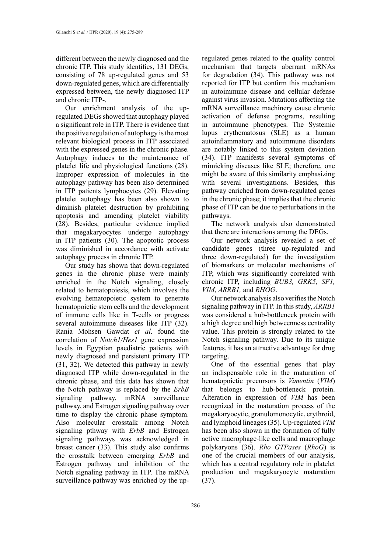different between the newly diagnosed and the chronic ITP. This study identifies, 131 DEGs, consisting of 78 up-regulated genes and 53 down-regulated genes, which are differentially expressed between, the newly diagnosed ITP and chronic ITP-.

Our enrichment analysis of the upregulated DEGs showed that autophagy played a significant role in ITP. There is evidence that the positive regulation of autophagy is the most relevant biological process in ITP associated with the expressed genes in the chronic phase. Autophagy induces to the maintenance of platelet life and physiological functions (28). Improper expression of molecules in the autophagy pathway has been also determined in ITP patients lymphocytes (29). Elevating platelet autophagy has been also shown to diminish platelet destruction by prohibiting apoptosis and amending platelet viability (28). Besides, particular evidence implied that megakaryocytes undergo autophagy in ITP patients (30). The apoptotic process was diminished in accordance with activate autophagy process in chronic ITP.

Our study has shown that down-regulated genes in the chronic phase were mainly enriched in the Notch signaling, closely related to hematopoiesis, which involves the evolving hematopoietic system to generate hematopoietic stem cells and the development of immune cells like in T-cells or progress several autoimmune diseases like ITP (32). Rania Mohsen Gawdat *et al*. found the correlation of *Notch1/Hes1* gene expression levels in Egyptian paediatric patients with newly diagnosed and persistent primary ITP (31, 32). We detected this pathway in newly diagnosed ITP while down-regulated in the chronic phase, and this data has shown that the Notch pathway is replaced by the *ErbB* signaling pathway, mRNA surveillance pathway, and Estrogen signaling pathway over time to display the chronic phase symptom. Also molecular crosstalk among Notch signaling pthway with *ErbB* and Estrogen signaling pathways was acknowledged in breast cancer (33). This study also confirms the crosstalk between emerging *ErbB* and Estrogen pathway and inhibition of the Notch signaling pathway in ITP. The mRNA surveillance pathway was enriched by the upregulated genes related to the quality control mechanism that targets aberrant mRNAs for degradation (34). This pathway was not reported for ITP but confirm this mechanism in autoimmune disease and cellular defense against virus invasion. Mutations affecting the mRNA surveillance machinery cause chronic activation of defense programs, resulting in autoimmune phenotypes. The Systemic lupus erythematosus (SLE) as a human autoinflammatory and autoimmune disorders are notably linked to this system deviation (34). ITP manifests several symptoms of mimicking diseases like SLE; therefore, one might be aware of this similarity emphasizing with several investigations. Besides, this pathway enriched from down-regulated genes in the chronic phase; it implies that the chronic phase of ITP can be due to perturbations in the pathways.

The network analysis also demonstrated that there are interactions among the DEGs.

Our network analysis revealed a set of candidate genes (three up-regulated and three down-regulated) for the investigation of biomarkers or molecular mechanisms of ITP, which was significantly correlated with chronic ITP, including *BUB3, GRK5, SF1, VIM, ARRB1,* and *RHOG*.

Our network analysis also verifies the Notch signaling pathway in ITP. In this study, *ARRB1* was considered a hub-bottleneck protein with a high degree and high betweenness centrality value. This protein is strongly related to the Notch signaling pathway. Due to its unique features, it has an attractive advantage for drug targeting.

One of the essential genes that play an indispensable role in the maturation of hematopoietic precursors is *Vimentin* (*VIM*) that belongs to hub-bottleneck protein. Alteration in expression of *VIM* has been recognized in the maturation process of the megakaryocytic, granulomonocytic, erythroid, and lymphoid lineages (35). Up‐regulated *VIM* has been also shown in the formation of fully active macrophage‐like cells and macrophage polykaryons (36). *Rho GTPases* (*RhoG*) is one of the crucial members of our analysis, which has a central regulatory role in platelet production and megakaryocyte maturation (37).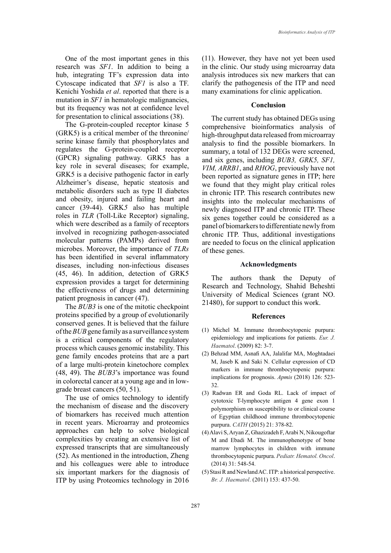One of the most important genes in this research was *SF1*. In addition to being a hub, integrating TF's expression data into Cytoscape indicated that *SF1* is also a TF. Kenichi Yoshida *et al*. reported that there is a mutation in *SF1* in hematologic malignancies, but its frequency was not at confidence level for presentation to clinical associations (38).

The G-protein-coupled receptor kinase 5 (GRK5) is a critical member of the threonine/ serine kinase family that phosphorylates and regulates the G-protein-coupled receptor (GPCR) signaling pathway. GRK5 has a key role in several diseases; for example, GRK5 is a decisive pathogenic factor in early Alzheimer's disease, hepatic steatosis and metabolic disorders such as type II diabetes and obesity, injured and failing heart and cancer (39-44). GRK*5* also has multiple roles in *TLR* (Toll-Like Receptor) signaling, which were described as a family of receptors involved in recognizing pathogen-associated molecular patterns (PAMPs) derived from microbes. Moreover, the importance of *TLRs* has been identified in several inflammatory diseases, including non-infectious diseases (45, 46). In addition, detection of GRK5 expression provides a target for determining the effectiveness of drugs and determining patient prognosis in cancer (47).

The *BUB3* is one of the mitotic checkpoint proteins specified by a group of evolutionarily conserved genes. It is believed that the failure of the *BUB* gene family as a surveillance system is a critical components of the regulatory process which causes genomic instability. This gene family encodes proteins that are a part of a large multi-protein kinetochore complex (48, 49). The *BUB3*'s importance was found in colorectal cancer at a young age and in lowgrade breast cancers (50, 51).

The use of omics technology to identify the mechanism of disease and the discovery of biomarkers has received much attention in recent years. Microarray and proteomics approaches can help to solve biological complexities by creating an extensive list of expressed transcripts that are simultaneously (52). As mentioned in the introduction, Zheng and his colleagues were able to introduce six important markers for the diagnosis of ITP by using Proteomics technology in 2016

(11). However, they have not yet been used in the clinic. Our study using microarray data analysis introduces six new markers that can clarify the pathogenesis of the ITP and need many examinations for clinic application.

## **Conclusion**

The current study has obtained DEGs using comprehensive bioinformatics analysis of high-throughput data released from microarray analysis to find the possible biomarkers. In summary, a total of 132 DEGs were screened, and six genes, including *BUB3, GRK5, SF1, VIM, ARRB1*, and *RHOG*, previously have not been reported as signature genes in ITP; here we found that they might play critical roles in chronic ITP. This research contributes new insights into the molecular mechanisms of newly diagnosed ITP and chronic ITP. These six genes together could be considered as a panel of biomarkers to differentiate newly from chronic ITP. Thus, additional investigations are needed to focus on the clinical application of these genes.

#### **Acknowledgments**

The authors thank the Deputy of Research and Technology, Shahid Beheshti University of Medical Sciences (grant NO. 21480), for support to conduct this work.

#### **References**

- (1) Michel M. Immune thrombocytopenic purpura: epidemiology and implications for patients. *Eur. J. Haematol*. (2009) 82: 3-7.
- (2) Behzad MM, Asnafi AA, Jalalifar MA, Moghtadaei M, Jaseb K and Saki N. Cellular expression of CD markers in immune thrombocytopenic purpura: implications for prognosis. *Apmis* (2018) 126: 523- 32.
- (3) Radwan ER and Goda RL. Lack of impact of cytotoxic T-lymphocyte antigen 4 gene exon 1 polymorphism on susceptibility to or clinical course of Egyptian childhood immune thrombocytopenic purpura. *CATH* (2015) 21: 378-82.
- (4) Alavi S, Aryan Z, Ghazizadeh F, Arabi N, Nikougoftar M and Ebadi M. The immunophenotype of bone marrow lymphocytes in children with immune thrombocytopenic purpura. *Pediatr. Hematol. Oncol*. (2014) 31: 548-54.
- (5) Stasi R and Newland AC. ITP: a historical perspective. *Br. J. Haematol*. (2011) 153: 437-50.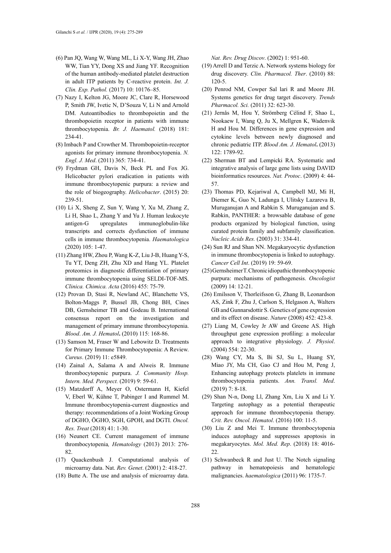- (6) Pan JQ, Wang W, Wang ML, Li X-Y, Wang JH, Zhao WW, Tian YY, Dong XS and Jiang YF. Recognition of the human antibody-mediated platelet destruction in adult ITP patients by C-reactive protein. *Int. J. Clin. Exp. Pathol.* (2017) 10: 10176–85.
- (7) Nazy I, Kelton JG, Moore JC, Clare R, Horsewood P, Smith JW, Ivetic N, D'Souza V, Li N and Arnold DM. Autoantibodies to thrombopoietin and the thrombopoietin receptor in patients with immune thrombocytopenia. *Br. J. Haematol.* (2018) 181: 234-41.
- (8) Imbach P and Crowther M. Thrombopoietin-receptor agonists for primary immune thrombocytopenia. *N. Engl. J. Med*. (2011) 365: 734-41.
- (9) Frydman GH, Davis N, Beck PL and Fox JG. Helicobacter pylori eradication in patients with immune thrombocytopenic purpura: a review and the role of biogeography. *Helicobacter*. (2015) 20: 239-51.
- (10) Li X, Sheng Z, Sun Y, Wang Y, Xu M, Zhang Z, Li H, Shao L, Zhang Y and Yu J. Human leukocyte antigen-G upregulates immunoglobulin-like transcripts and corrects dysfunction of immune cells in immune thrombocytopenia. *Haematologica* (2020) 105: 1-47.
- (11) Zhang HW, Zhou P, Wang K-Z, Liu J-B, Huang Y-S, Tu YT, Deng ZH, Zhu XD and Hang YL. Platelet proteomics in diagnostic differentiation of primary immune thrombocytopenia using SELDI-TOF-MS. *Clinica. Chimica. Acta* (2016) 455: 75-79.
- (12) Provan D, Stasi R, Newland AC, Blanchette VS, Bolton-Maggs P, Bussel JB, Chong BH, Cines DB, Gernsheimer TB and Godeau B. International consensus report on the investigation and management of primary immune thrombocytopenia. *Blood*. *Am. J. Hematol***.** (2010) 115: 168-86.
- (13) Samson M, Fraser W and Lebowitz D. Treatments for Primary Immune Thrombocytopenia: A Review. *Cureus*. (2019) 11: e5849.
- (14) Zainal A, Salama A and Alweis R. Immune thrombocytopenic purpura. *J. Community Hosp. Intern. Med. Perspect.* (2019) 9: 59-61.
- (15) Matzdorff A, Meyer O, Ostermann H, Kiefel V, Eberl W, Kühne T, Pabinger I and Rummel M. Immune thrombocytopenia-current diagnostics and therapy: recommendations of a Joint Working Group of DGHO, ÖGHO, SGH, GPOH, and DGTI. *Oncol. Res. Treat* (2018) 41: 1-30.
- (16) Neunert CE. Current management of immune thrombocytopenia*, Hematology* (2013) 2013: 276- 82.
- (17) Quackenbush J. Computational analysis of microarray data. Nat. *Rev. Genet*. (2001) 2: 418-27.
- (18) Butte A. The use and analysis of microarray data.

*Nat. Rev. Drug Discov*. (2002) 1: 951-60.

- (19) Arrell D and Terzic A. Network systems biology for drug discovery. *Clin. Pharmacol. Ther*. (2010) 88: 120-5.
- (20) Penrod NM, Cowper Sal lari R and Moore JH. Systems genetics for drug target discovery. *Trends Pharmacol. Sci.* (2011) 32: 623-30.
- (21) Jernås M, Hou Y, Strömberg Célind F, Shao L, Nookaew I, Wang Q, Ju X, Mellgren K, Wadenvik H and Hou M. Differences in gene expression and cytokine levels between newly diagnosed and chronic pediatric ITP. *Blood Am. J. Hematol***.** (2013) 122: 1789-92.
- (22) Sherman BT and Lempicki RA. Systematic and integrative analysis of large gene lists using DAVID bioinformatics resources. *Nat. Protoc*. (2009) 4: 44- 57.
- (23) Thomas PD, Kejariwal A, Campbell MJ, Mi H, Diemer K, Guo N, Ladunga I, Ulitsky Lazareva B, Muruganujan A and Rabkin S. Muruganujan and S. Rabkin, PANTHER: a browsable database of gene products organized by biological function, using curated protein family and subfamily classification. *Nucleic Acids Res.* (2003) 31: 334-41.
- (24) Sun RJ and Shan NN. Megakaryocytic dysfunction in immune thrombocytopenia is linked to autophagy. *Cancer Cell Int*. (2019) 19: 59-69.
- (25) Gernsheimer T. Chronic idiopathic thrombocytopenic purpura: mechanisms of pathogenesis. *Oncologist* (2009) 14: 12-21.
- (26) Emilsson V, Thorleifsson G, Zhang B, Leonardson AS, Zink F, Zhu J, Carlson S, Helgason A, Walters GB and Gunnarsdottir S. Genetics of gene expression and its effect on disease. *Nature* (2008) 452: 423-8.
- (27) Liang M, Cowley Jr AW and Greene AS. High throughput gene expression profiling: a molecular approach to integrative physiology. *J. Physiol*. (2004) 554: 22-30.
- (28) Wang CY, Ma S, Bi SJ, Su L, Huang SY, Miao JY, Ma CH, Gao CJ and Hou M, Peng J, Enhancing autophagy protects platelets in immune thrombocytopenia patients. *Ann. Transl. Med*. (2019) 7: 8-18.
- (29) Shan N-n, Dong Ll, Zhang Xm, Liu X and Li Y. Targeting autophagy as a potential therapeutic approach for immune thrombocytopenia therapy. *Crit. Rev. Oncol. Hematol*. (2016) 100: 11-5.
- (30) Liu Z and Mei T. Immune thrombocytopenia induces autophagy and suppresses apoptosis in megakaryocytes. *Mol. Med. Rep*. (2018) 18: 4016- 22.
- (31) Schwanbeck R and Just U. The Notch signaling pathway in hematopoiesis and hematologic malignancies. *haematologica* (2011) 96: 1735-7.